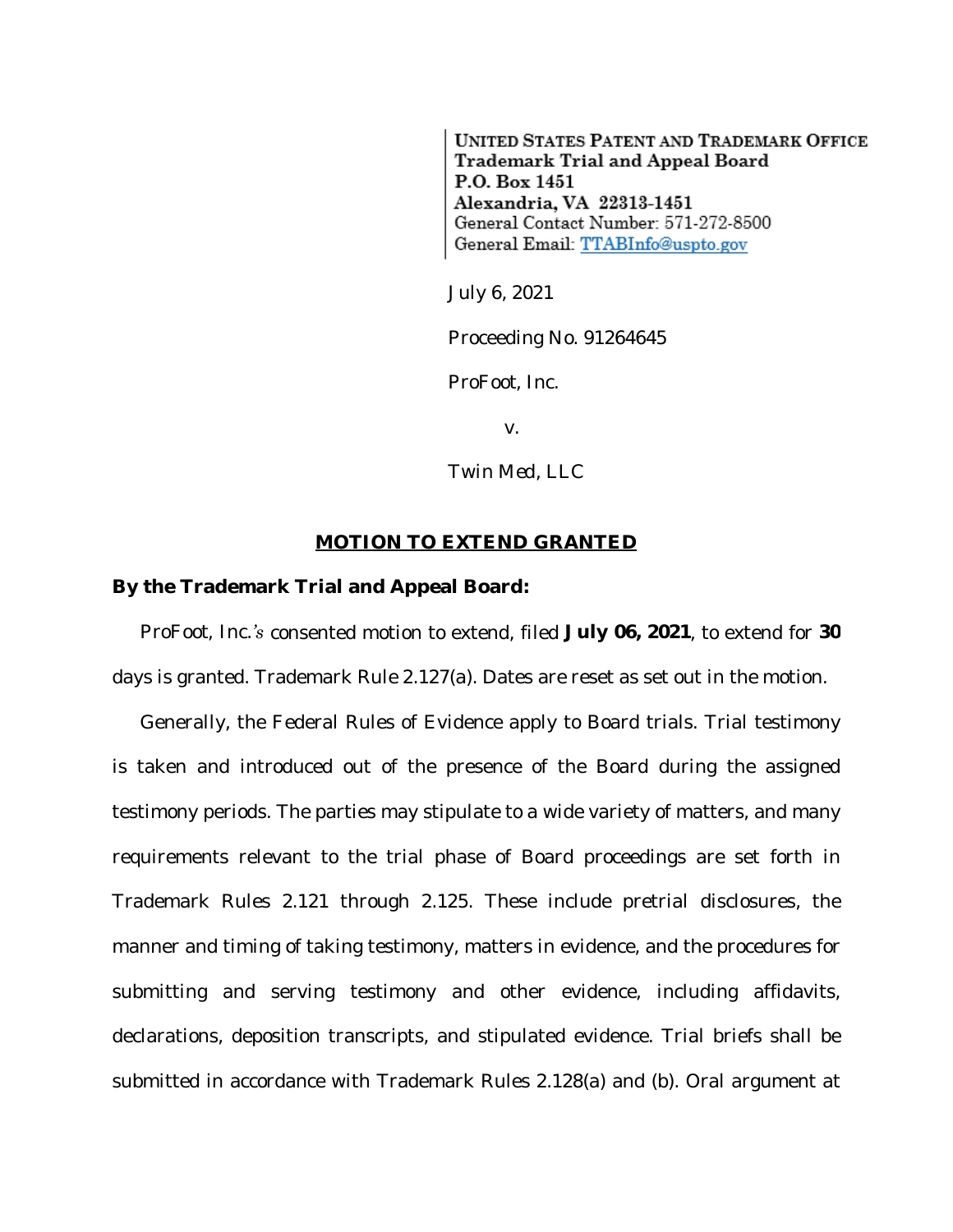**UNITED STATES PATENT AND TRADEMARK OFFICE** Trademark Trial and Appeal Board P.O. Box 1451 Alexandria, VA 22313-1451 General Contact Number: 571-272-8500 General Email: TTABInfo@uspto.gov

July 6, 2021

Proceeding No. 91264645

*ProFoot, Inc.*

v.

*Twin Med, LLC*

## **MOTION TO EXTEND GRANTED**

## **By the Trademark Trial and Appeal Board:**

*ProFoot, Inc.'s* consented motion to extend, filed **July 06, 2021**, to extend for **30** days is granted. Trademark Rule 2.127(a). Dates are reset as set out in the motion.

Generally, the Federal Rules of Evidence apply to Board trials. Trial testimony is taken and introduced out of the presence of the Board during the assigned testimony periods. The parties may stipulate to a wide variety of matters, and many requirements relevant to the trial phase of Board proceedings are set forth in Trademark Rules 2.121 through 2.125. These include pretrial disclosures, the manner and timing of taking testimony, matters in evidence, and the procedures for submitting and serving testimony and other evidence, including affidavits, declarations, deposition transcripts, and stipulated evidence. Trial briefs shall be submitted in accordance with Trademark Rules 2.128(a) and (b). Oral argument at